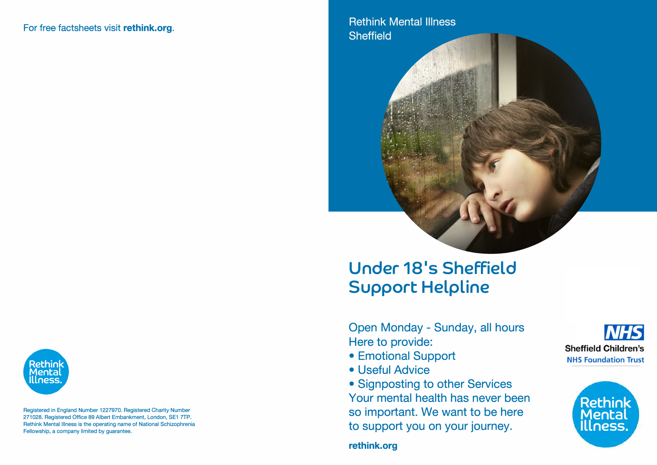### For free factsheets visit **rethink.org.**

## **Rethink Mental Illness Sheffield**



Registered in England Number 1227970. Registered Charity Number 271028. Registered Office 89 Albert Embankment, London, SE1 7TP. Rethink Mental Illness is the operating name of National Schizophrenia Fellowship, a company limited by guarantee.

# **Under 18<sup>1</sup> s Sheffield Support Helpline**

Open Monday - Sunday, all hours Here to provide:

- Emotional Support
- Useful Advice

• Signposting to other Services Your mental health has never been so important. We want to be here to support you on your journey.

**NHS Sheffield Children's NHS Foundation Trust**